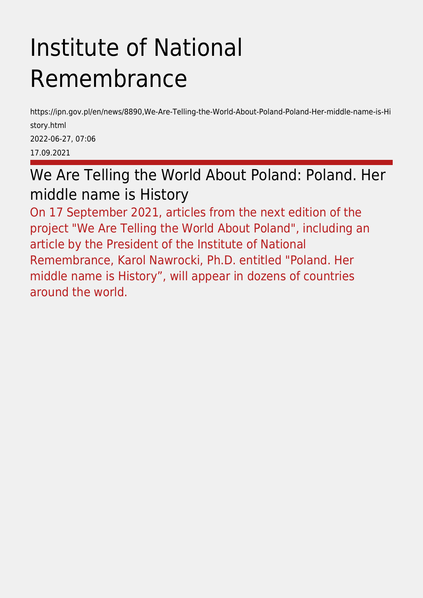# Institute of National Remembrance

https://ipn.gov.pl/en/news/8890,We-Are-Telling-the-World-About-Poland-Poland-Her-middle-name-is-Hi story.html 2022-06-27, 07:06 17.09.2021

We Are Telling the World About Poland: Poland. Her middle name is History

On 17 September 2021, articles from the next edition of the project "We Are Telling the World About Poland", including an article by the President of the Institute of National Remembrance, Karol Nawrocki, Ph.D. entitled "Poland. Her middle name is History", will appear in dozens of countries around the world.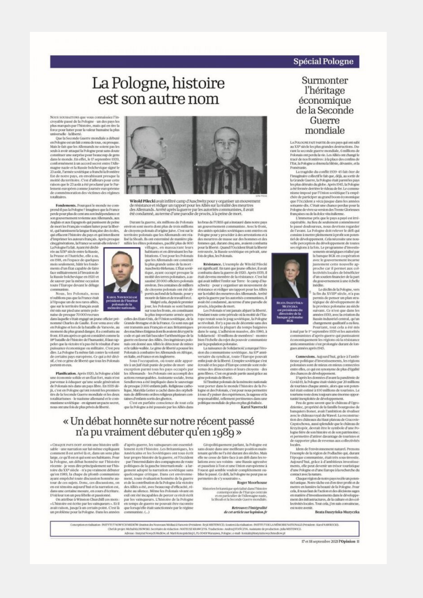#### **Spécial Pologne**

# La Pologne, histoire est son autre nom

Nous souu<br/>aarroxs que vous connaissiez l'incroyable passé de la Pologne – un des pays les plus marqués par l'histoire, mais qui en tire la force pour luiter pour la valeur humaine la plus universe<br>le  $\cdot$ la<br/>libert

en Pelogne est un fait comu de toas, ou press<br/>pas. Mais le fait que les Allemands ne soient pas les<br>setia à avoir attaqué la Pelogne peut sans doute constituer une sarprise pour sans doute dans le mond. En effet, le 1 en Pologne est un fait connu de tous, ou presque oration des victimes des régimes

nents. Pourquoi le monde ne com prend-il pas la Pologne? Imaginez que la France<br>perde pour plus de cent ans son indépendance et vernement revienne aux Allemands, aux omac Anglais et aux Espagnols qui punissent de peins<br>de mort les Français voulant lutter pour la liber de mort les Français voulant lutter pour la liber-té, qui baraissent la largue français des écoles, qui est<br>locent l'histoire du pays et qui interdisent qui est<br>locent l'histoire du pays et qui interdisent d'angénérations

en 1918, en l'espace de quelques<br>mois seulement, bâtir les fondemois seulement, bătir les fondement<br>nents d'un État capable de faire face militairement à l'hroasion de<br>la Russie bolchevique en 1920 et<br>de sauver par la même occasion<br>toute l'Europe devant le déluge com

Nous, les Polonais, nous Nously, les Polonais, nous<br>
(Capitalis, nously, modellons, pas que su France était<br>
a l'époque un de nes rares alliés,<br>
que sur le servitoire français avait<br>
des mississes de presque 70 000 recrues<br>
des mississes de presq

moment du plus grand danger, il a combattu au front. 101 ans après ce qui est considéré comme la<br>18º bataille de l'histoire de l'humanité, il faut rap-199 bustade de l'Issociet de l'Issociet de l'Issociat d'Amerique peler que la victoire n'a pas été le résultat d'une<br>puissance économique ou militaire. C'est peut<br>dire, La Pologne l'a mètre du contre la volonté<br>de certains

Planification, Après 1920, la Pologne a bâti une économie solide et un État fort, mais n'est une coontenue sonno e et un leixt tort, mais rest<br>parvenue à éduquer qu'une soule génération<br>de Polonais nés dans un pays libre. En 1939 dé-<br>jà, c'est en l'oblogue qu'une returi les premiers<br>dist des la Seconde Gaerre mond



 $\begin{tabular}{ll} \textbf{C}~\textbf{F}~\textbf{non-1}~\textbf{M}~\textbf{M}~\textbf{M}~\textbf{M}~\textbf{M}~\textbf{M}~\textbf{M}~\textbf{M}~\textbf{M}~\textbf{M}~\textbf{M}~\textbf{M}~\textbf{M}~\textbf{M}~\textbf{M}~\textbf{M}~\textbf{M}~\textbf{M}~\textbf{M}~\textbf{M}~\textbf{M}~\textbf{M}~\textbf{M}~\textbf{M}~\textbf{M}~\textbf{M}~\textbf{M}~$ 

les Allemands - les Polonais ont accompli des actions remarquables. Assistante sociale, brena actous rentaquantes. Assistante sociale, mena se sanvetage da presque 2000 enfants julis. Religieuse catholique, Marylda Getter a caché dans des orpheliques and<br>nature da différents catholiques and the differents orders ar



Witold Pilecki avait infiltré camp d'Auschwitz pour y organiser un mouven<br>de résistance et rédiger un rapport pour les Alliés sur la réalité des meurtres<br>des Allemands. Arrêté après la guerre par les autorités communistes,

Durant la guerre, six millions de Polonais environ sont morts dont plus de trois millions<br>de chiese polonais d'origene juve. C'est ar le detroit réduction de territoire polonais que les Allemands ont réducés<br>de la Shoah. Ils ont exterminé de manifère plus différent fron sont morts dont plus de trois millions

uscamureurschur arcupé presque la<br>inoitié des terres polonaises, a ass<br>assimé 20 000 officiers polonais<br>mviron. Des centaines de milliers de citoyens polonais ont été dé-<br>portés auford de la Russie, pour y mourir de faim et de travail forcé Maleré cela ziemis le normie

guerre en taveur des Antes. Des magneurs poto-<br>mais ont donné aux Allés le détecteur de minisse et le taillé-wallée. Le gêne de liberté a pousse les<br>plonais à conduitre les Allemands en Afrique,<br>en l'aude, en l'arace et en

los bras de l'URSS qui a instauré dans notre pays les bras de l'URSS qui a instauré dans notre pays un gouvernement communiste. Avec le front, des unités spéciales soviétiques sont entrées en possègne pour y procéder à des arrestations et à des mensions de femmes qui, du

Résistance, L'exemple de Witold Pilecki Resistance, L'exempte de Witold Pilecki<br>est significatif. En tant que jeune officier, il avait<br>combarnu dans la guerre de 1920. Après 1929, il<br>citat devenu membre de la résistance. C'est lui<br>qui avait influire l'enfer sur après la guerre par les autorités communistes, il<br>avait été condamné, au terme d'une parodie de

avait été condamné, au terme d'une parcelle de<br>procès, à la peine de mort,<br>. Les Polonais n'ont jamais abjuré la liberté.<br>Pendant toute cele période où la moitié de l'Eu-<br>reprendant toute est pix période où la moitié de l' bien l'échelle du rejet du pouvoir communiste

bent Techolen darged du proposter communiste<br>par la propulazion poloniale.<br>La maissance de Solidarnos2 a marqué l'érévolution<br>proposter du syndical, coute l'Europe pouvait<br>versaire du syndicat, coute l'Europe pouvait<br>enfin gens libres. C'est en grande partie aussi gràce au ne polonais de liberté.

Si l'Institut polonais de la mémoire nationale Si l'Institut polonais de la mémoire nuiterale<br>veut porter dans le monde l'histoire de la Pologne et des l'obtomis, c'est pour nous permettre<br>à tous d'y puiser des expériences, la sageste et la polonabilité, tellement pert

#### « Un débat honnête sur notre récent passé n'a pu vraiment débuter qu'en 1989 »

· CHAQUE PAYS DOIT AVOIR une histoire utilisable - une narration sur lui-même expliquant<br>comment il est arrivé là et, dans un sens plus large, ce qu'il est et qui sont ses habitants. Pour<br>la Pologne, un débat honnête sur l'histoire Ia Pelagne, un débat homabie sur l'histoire<br>réaution d'état de réprésent sur l'histoire du XX<sup>e</sup> siècle - n'a pu vraiment débuter que van sur l'histoire du XX<sup>e</sup> siècle - n'a pu vraiment débuter ayant empéché toute discus

ou annunce a wisson cannon construction of a children existe par les vainqueurs ». Et il<br>avait raison, jusqu'à un certain point. C'est là<br>un problème pour la Pologne. Dans les années

d'après-guerre, les vainqueurs ont essentiel-<br>lement écrit l'histoire. Les Britanniques, les<br>Américains et les Soviétiques ont tous écrit leur propre histoire de la guerre, et l'Occident leur propre histoire de la guerre, et l'Occident<br>propre histoire de la guerre, et l'Occident<br>politiques de la gauche internationale – a largement adopté la narrationale – a largement adopté la narration nové<br>iclique situé pou ses vamqueurs. L'histoire de la Pologne<br>en temps de guerre ne pouvait être racontée<br>que lorsqu'elle était sanctionnée par le régime<br>communise. (...)

Géopolitiquement parlant, la Pologne est ans doute dans une meilleure position main-<br>enant qu'elle ne l'a été durant des siècles. Mais elle ne cesse de faire face à un défi dans les reelle ne cesse de faire face à un défi dans les re-<br>lations avec ses voisins - une Russie agressive<br>et passéiste à l'est et une Union européenne à<br>l'ouest qui semble vouloir complètement ou-<br>blier le passé. Ce défi, la Polo

#### **Roger Moorhouse**

Historien britannique spécialisé dans l'historien<br>contemporaine de l'Europe centrale<br>et en particulier de l'Allemagne nazie et en particulier de l'Allemagne nazie<br>la Shoah et la Seconde Guerre mondiale

Retrouvez l'intégralité<br>de cet article sur lopinion.fr

 $\label{prop:main} \begin{minip} \textsc{Corceepion-criticalisation:}\ \textsc{NSTTUT} \ \textsc{NONVGLMEMW:}\ \textsc{Omerin} \ \textsc{dis-less-Nonconic-Green:}\ \textsc{Tricialman:}\ \textsc{Tricialman:}\ \textsc{Tricialman:}\ \textsc{NSTUUT:}\ \textsc{Dem:}\ \textsc{Tricialman:}\ \textsc{Tricialman:}\ \textsc{Tricialman:}\ \textsc{Tricialman:}\ \textsc{Tricialman:}\ \textsc{Tricialman:}\ \textsc{Tricialman:}\ \textsc{Tricialman:}\ \textsc{Tricialman:}\ \textsc{Tricialman:$ 

17 et 18 septembre 2021 l'Opinion 11

#### Surmonter l'héritage économique de la Seconde Guerre mondiale

LA POLOGNE FAIT PARTIE de ces taves qui ont subi LA POLOGINE FAT PARTIE de ces pays qua estis subtrata al XXº siècle les plus grandes destructions. Du<br>rant la seconde guerre mondiale, 6 millions de Polonais ont perhat<br>partie de nos frontières : à la pluse des configs le<br>

Poméranie.<br>La tragédie du conflit 1939-45 fait ôter de La tragédie du conflit 1929 -45 fait de<br/>er de l'imaginaire colectif le fait que, déjà, au sortir de la Grande Guerre, la Pologne était par<br>une les plus dérants du globe. Après 1945, la Pologne était par<br>une super de l

L'immense prix que le pays a payé est irré-<br>cupérable. Au lieu de seulement commémorer cuperation. An heut de seulement commensure of<br>the passé douloureux, nous devrions regarder<br>de l'avant. La Pologne doit relever le défi qui<br>consiste à metre ploienceard profits out performance<br>tiel de dévéloppement. Cela n

la banque BGK en coopération avec le gouvernement incarne avec le gouvernement mearne<br>justement cette nouvelle approche car il permet aux collectivités<br>proche car il permet aux collectivités<br>locales de bénéficier<br>d'un soutien financier de la part<br>locale

Le déclin de la Pologne, vers la fin du XVIII<sup>e</sup> siècle, n'a pas Le fin du XVIIIº siede, m'a passe per le premis de perser un plan stranden.<br>
Maria de perser un plan stranden antiche politique de développement de la province polenaire au siècle du sainte du sainte présent pas par les<br>
d

communistes d'après-gaerre qui punissaient<br>économiquement les régions où la résistance anticommuniste s'est prolongée durant de lon<br>gues années après 1945.

 $\begin{array}{c} \textbf{Comnexions.} \text{} \textbf{Quardant,} \textit{grade} \textit{in} \textit{at} \textit{Tambb} \\ \textbf{tieuse politique d'investissements, les régions polonaises sont de mieux em miens connectées entre elles, ce qui est synoryne de plus d'égalité} \end{array}$ des chances de développement.

D'après les données d'avant la pandémie de D'après les données d'avant la parzòlemie de<br>Covid-19, la colonnées d'avant la parzòlemie de<br>Covid-19, la rédepre était vésifie par 20 millions de touristes chaque année, alors que son poten-<br>tiel était estimé à 100 millio

tion des châteaux du Haur plateau de Cracovie-<br>Cagascehowa, aussi splendide que le château de Krzyżtopór, devrait être le symbole d'une Po-<br>logne fière de son histoire et de son partimoine;<br>et permettre d'attirer divantage

Idem de l'environnement naturel. Prenons l'exemple de la région de Podlachie qui, durant l'époque communiste, était très sons investie. Attiourd'hui, erace à d'ambitieux investisse Aujourd'hui, grâce à d'ambitieux investissements<br>particular de la controlatique d'une Pologne et d'une Europe à la recherche du<br>catactavec la rature.<br>Chaque région de notre pays recèle un potention du<br>aque région de notre

cela, il nous faut de l'action et des décisions sages en matière d'investissements dans le développe ment des infrastructures, de la culture et des col-<br>lectivités locales. Tout cela, j'en suis convaincue, est notre avenir.

Beata Daszyńska-Muzyczka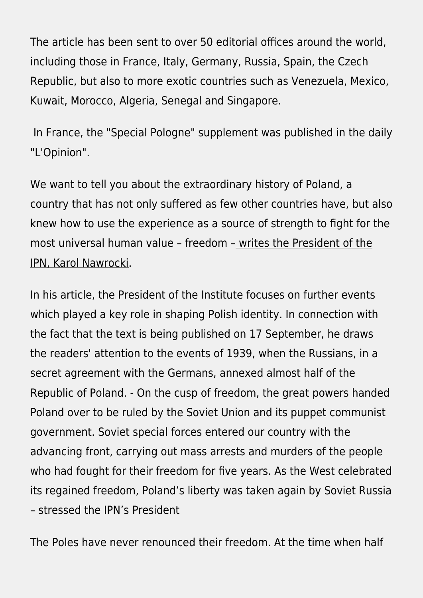The article has been sent to over 50 editorial offices around the world, including those in France, Italy, Germany, Russia, Spain, the Czech Republic, but also to more exotic countries such as Venezuela, Mexico, Kuwait, Morocco, Algeria, Senegal and Singapore.

 In France, the "Special Pologne" supplement was published in the daily "L'Opinion".

We want to tell you about the extraordinary history of Poland, a country that has not only suffered as few other countries have, but also knew how to use the experience as a source of strength to fight for the most universal human value – freedom – [writes the President of the](http://ipn.gov.pl/download/2/38033/cid829CE1FF-5D1B-4C0E-9CA3-85641562B559.pdf) [IPN, Karol Nawrocki](http://ipn.gov.pl/download/2/38033/cid829CE1FF-5D1B-4C0E-9CA3-85641562B559.pdf).

In his article, the President of the Institute focuses on further events which played a key role in shaping Polish identity. In connection with the fact that the text is being published on 17 September, he draws the readers' attention to the events of 1939, when the Russians, in a secret agreement with the Germans, annexed almost half of the Republic of Poland. - On the cusp of freedom, the great powers handed Poland over to be ruled by the Soviet Union and its puppet communist government. Soviet special forces entered our country with the advancing front, carrying out mass arrests and murders of the people who had fought for their freedom for five years. As the West celebrated its regained freedom, Poland's liberty was taken again by Soviet Russia – stressed the IPN's President

The Poles have never renounced their freedom. At the time when half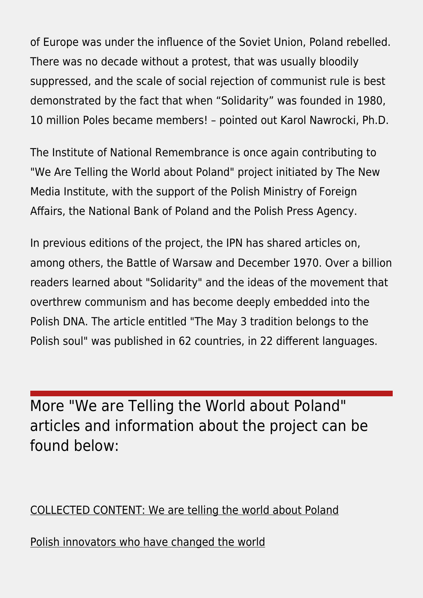of Europe was under the influence of the Soviet Union, Poland rebelled. There was no decade without a protest, that was usually bloodily suppressed, and the scale of social rejection of communist rule is best demonstrated by the fact that when "Solidarity" was founded in 1980, 10 million Poles became members! – pointed out Karol Nawrocki, Ph.D.

The Institute of National Remembrance is once again contributing to "We Are Telling the World about Poland" project initiated by The New Media Institute, with the support of the Polish Ministry of Foreign Affairs, the National Bank of Poland and the Polish Press Agency.

In previous editions of the project, the IPN has shared articles on, among others, the Battle of Warsaw and December 1970. Over a billion readers learned about "Solidarity" and the ideas of the movement that overthrew communism and has become deeply embedded into the Polish DNA. The article entitled "The May 3 tradition belongs to the Polish soul" was published in 62 countries, in 22 different languages.

More "We are Telling the World about Poland" articles and information about the project can be found below:

[COLLECTED CONTENT: We are telling the world about Poland](https://ipn.gov.pl/en/brief-history-of-poland/collected-content/6884,COLLECTED-CONTENT-We-are-telling-the-world-about-Poland.html)

[Polish innovators who have changed the world](https://ipn.gov.pl/pl/historia-z-ipn/145943,Opowiadamy-Polske-swiatu-Polscy-innowatorzy-zmienili-swiat.html)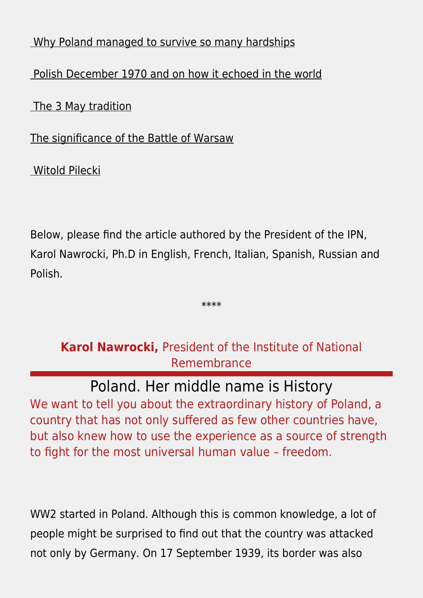### [Why Poland managed to survive so many hardships](https://ipn.gov.pl/en/news/4915,We-are-telling-the-world-about-Poland-The-President-of-the-Institute-of-National.html?search=90222238)

### [Polish December 1970 and on how it echoed in the world](https://ipn.gov.pl/en/news/6871,We-are-telling-the-world-about-Poland-the-President-of-the-Institute-of-National.html?sid=133c728e9ecc917ef80fdeeb2368548c)

 [The 3 May tradition](https://ipn.gov.pl/en/news/8065,We-are-telling-the-world-about-Poland-the-President-of-the-Institute-of-National.html?sid=133c728e9ecc917ef80fdeeb2368548c)

[The significance of the Battle of Warsaw](https://ipn.gov.pl/en/news/4439,Jaroslaw-Szarek-The-Battle-of-Warsaw-1920-The-Defeat-of-the-Empire-of-Evil.html?search=82485440)

 [Witold Pilecki](https://ipn.gov.pl/en/news/2308,We-are-telling-the-world-about-Poland-Opowiadamy-Polske-swiatu.html?search=2773623516)

Below, please find the article authored by the President of the IPN, Karol Nawrocki, Ph.D in English, French, Italian, Spanish, Russian and Polish.

\*\*\*\*

# **Karol Nawrocki,** President of the Institute of National Remembrance

Poland. Her middle name is History We want to tell you about the extraordinary history of Poland, a country that has not only suffered as few other countries have, but also knew how to use the experience as a source of strength to fight for the most universal human value – freedom.

WW2 started in Poland. Although this is common knowledge, a lot of people might be surprised to find out that the country was attacked not only by Germany. On 17 September 1939, its border was also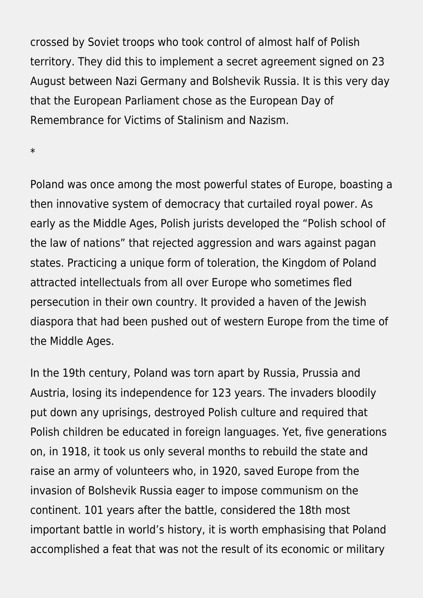crossed by Soviet troops who took control of almost half of Polish territory. They did this to implement a secret agreement signed on 23 August between Nazi Germany and Bolshevik Russia. It is this very day that the European Parliament chose as the European Day of Remembrance for Victims of Stalinism and Nazism.

\*

Poland was once among the most powerful states of Europe, boasting a then innovative system of democracy that curtailed royal power. As early as the Middle Ages, Polish jurists developed the "Polish school of the law of nations" that rejected aggression and wars against pagan states. Practicing a unique form of toleration, the Kingdom of Poland attracted intellectuals from all over Europe who sometimes fled persecution in their own country. It provided a haven of the Jewish diaspora that had been pushed out of western Europe from the time of the Middle Ages.

In the 19th century, Poland was torn apart by Russia, Prussia and Austria, losing its independence for 123 years. The invaders bloodily put down any uprisings, destroyed Polish culture and required that Polish children be educated in foreign languages. Yet, five generations on, in 1918, it took us only several months to rebuild the state and raise an army of volunteers who, in 1920, saved Europe from the invasion of Bolshevik Russia eager to impose communism on the continent. 101 years after the battle, considered the 18th most important battle in world's history, it is worth emphasising that Poland accomplished a feat that was not the result of its economic or military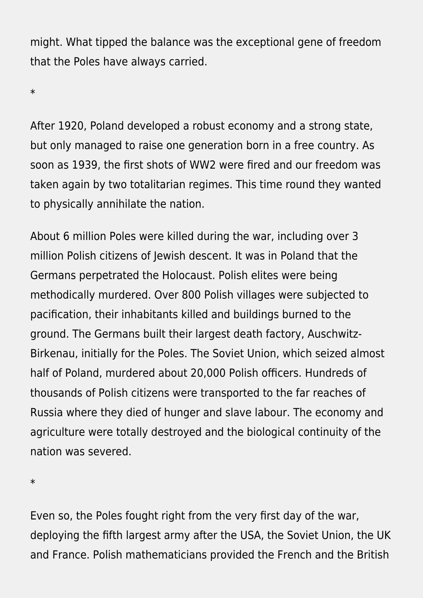might. What tipped the balance was the exceptional gene of freedom that the Poles have always carried.

\*

After 1920, Poland developed a robust economy and a strong state, but only managed to raise one generation born in a free country. As soon as 1939, the first shots of WW2 were fired and our freedom was taken again by two totalitarian regimes. This time round they wanted to physically annihilate the nation.

About 6 million Poles were killed during the war, including over 3 million Polish citizens of Jewish descent. It was in Poland that the Germans perpetrated the Holocaust. Polish elites were being methodically murdered. Over 800 Polish villages were subjected to pacification, their inhabitants killed and buildings burned to the ground. The Germans built their largest death factory, Auschwitz-Birkenau, initially for the Poles. The Soviet Union, which seized almost half of Poland, murdered about 20,000 Polish officers. Hundreds of thousands of Polish citizens were transported to the far reaches of Russia where they died of hunger and slave labour. The economy and agriculture were totally destroyed and the biological continuity of the nation was severed.

\*

Even so, the Poles fought right from the very first day of the war, deploying the fifth largest army after the USA, the Soviet Union, the UK and France. Polish mathematicians provided the French and the British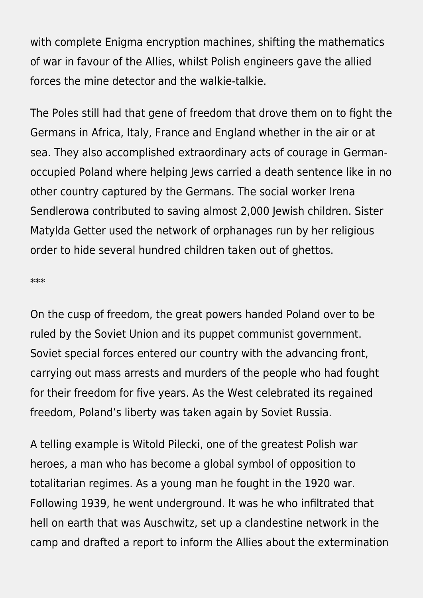with complete Enigma encryption machines, shifting the mathematics of war in favour of the Allies, whilst Polish engineers gave the allied forces the mine detector and the walkie-talkie.

The Poles still had that gene of freedom that drove them on to fight the Germans in Africa, Italy, France and England whether in the air or at sea. They also accomplished extraordinary acts of courage in Germanoccupied Poland where helping Jews carried a death sentence like in no other country captured by the Germans. The social worker Irena Sendlerowa contributed to saving almost 2,000 Jewish children. Sister Matylda Getter used the network of orphanages run by her religious order to hide several hundred children taken out of ghettos.

\*\*\*

On the cusp of freedom, the great powers handed Poland over to be ruled by the Soviet Union and its puppet communist government. Soviet special forces entered our country with the advancing front, carrying out mass arrests and murders of the people who had fought for their freedom for five years. As the West celebrated its regained freedom, Poland's liberty was taken again by Soviet Russia.

A telling example is Witold Pilecki, one of the greatest Polish war heroes, a man who has become a global symbol of opposition to totalitarian regimes. As a young man he fought in the 1920 war. Following 1939, he went underground. It was he who infiltrated that hell on earth that was Auschwitz, set up a clandestine network in the camp and drafted a report to inform the Allies about the extermination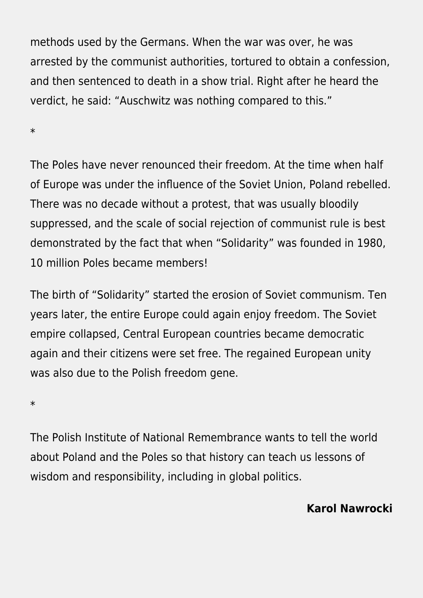methods used by the Germans. When the war was over, he was arrested by the communist authorities, tortured to obtain a confession, and then sentenced to death in a show trial. Right after he heard the verdict, he said: "Auschwitz was nothing compared to this."

\*

The Poles have never renounced their freedom. At the time when half of Europe was under the influence of the Soviet Union, Poland rebelled. There was no decade without a protest, that was usually bloodily suppressed, and the scale of social rejection of communist rule is best demonstrated by the fact that when "Solidarity" was founded in 1980, 10 million Poles became members!

The birth of "Solidarity" started the erosion of Soviet communism. Ten years later, the entire Europe could again enjoy freedom. The Soviet empire collapsed, Central European countries became democratic again and their citizens were set free. The regained European unity was also due to the Polish freedom gene.

\*

The Polish Institute of National Remembrance wants to tell the world about Poland and the Poles so that history can teach us lessons of wisdom and responsibility, including in global politics.

### **Karol Nawrocki**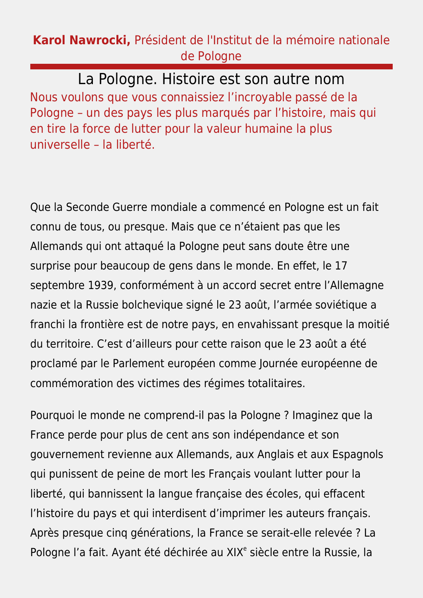### **Karol Nawrocki,** Président de l'Institut de la mémoire nationale de Pologne

La Pologne. Histoire est son autre nom Nous voulons que vous connaissiez l'incroyable passé de la Pologne – un des pays les plus marqués par l'histoire, mais qui en tire la force de lutter pour la valeur humaine la plus universelle – la liberté.

Que la Seconde Guerre mondiale a commencé en Pologne est un fait connu de tous, ou presque. Mais que ce n'étaient pas que les Allemands qui ont attaqué la Pologne peut sans doute être une surprise pour beaucoup de gens dans le monde. En effet, le 17 septembre 1939, conformément à un accord secret entre l'Allemagne nazie et la Russie bolchevique signé le 23 août, l'armée soviétique a franchi la frontière est de notre pays, en envahissant presque la moitié du territoire. C'est d'ailleurs pour cette raison que le 23 août a été proclamé par le Parlement européen comme Journée européenne de commémoration des victimes des régimes totalitaires.

Pourquoi le monde ne comprend-il pas la Pologne ? Imaginez que la France perde pour plus de cent ans son indépendance et son gouvernement revienne aux Allemands, aux Anglais et aux Espagnols qui punissent de peine de mort les Français voulant lutter pour la liberté, qui bannissent la langue française des écoles, qui effacent l'histoire du pays et qui interdisent d'imprimer les auteurs français. Après presque cinq générations, la France se serait-elle relevée ? La Pologne l'a fait. Ayant été déchirée au XIX<sup>e</sup> siècle entre la Russie, la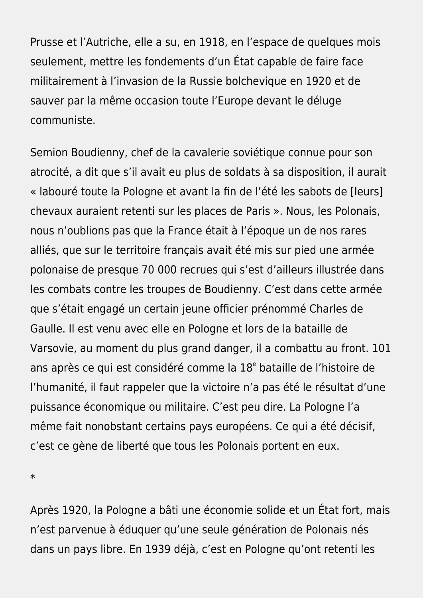Prusse et l'Autriche, elle a su, en 1918, en l'espace de quelques mois seulement, mettre les fondements d'un État capable de faire face militairement à l'invasion de la Russie bolchevique en 1920 et de sauver par la même occasion toute l'Europe devant le déluge communiste.

Semion Boudienny, chef de la cavalerie soviétique connue pour son atrocité, a dit que s'il avait eu plus de soldats à sa disposition, il aurait « labouré toute la Pologne et avant la fin de l'été les sabots de [leurs] chevaux auraient retenti sur les places de Paris ». Nous, les Polonais, nous n'oublions pas que la France était à l'époque un de nos rares alliés, que sur le territoire français avait été mis sur pied une armée polonaise de presque 70 000 recrues qui s'est d'ailleurs illustrée dans les combats contre les troupes de Boudienny. C'est dans cette armée que s'était engagé un certain jeune officier prénommé Charles de Gaulle. Il est venu avec elle en Pologne et lors de la bataille de Varsovie, au moment du plus grand danger, il a combattu au front. 101 ans après ce qui est considéré comme la 18<sup>e</sup> bataille de l'histoire de l'humanité, il faut rappeler que la victoire n'a pas été le résultat d'une puissance économique ou militaire. C'est peu dire. La Pologne l'a même fait nonobstant certains pays européens. Ce qui a été décisif, c'est ce gène de liberté que tous les Polonais portent en eux.

\*

Après 1920, la Pologne a bâti une économie solide et un État fort, mais n'est parvenue à éduquer qu'une seule génération de Polonais nés dans un pays libre. En 1939 déjà, c'est en Pologne qu'ont retenti les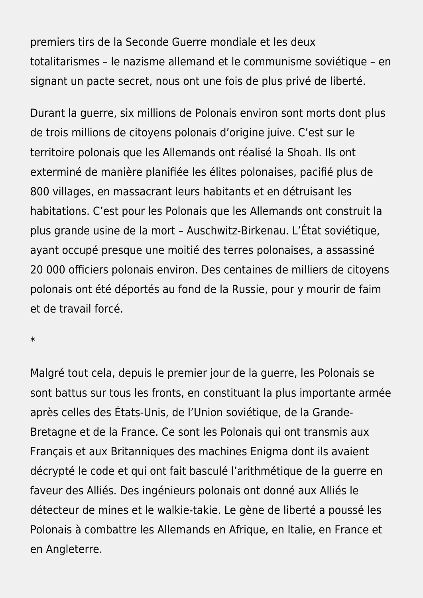premiers tirs de la Seconde Guerre mondiale et les deux totalitarismes – le nazisme allemand et le communisme soviétique – en signant un pacte secret, nous ont une fois de plus privé de liberté.

Durant la guerre, six millions de Polonais environ sont morts dont plus de trois millions de citoyens polonais d'origine juive. C'est sur le territoire polonais que les Allemands ont réalisé la Shoah. Ils ont exterminé de manière planifiée les élites polonaises, pacifié plus de 800 villages, en massacrant leurs habitants et en détruisant les habitations. C'est pour les Polonais que les Allemands ont construit la plus grande usine de la mort – Auschwitz-Birkenau. L'État soviétique, ayant occupé presque une moitié des terres polonaises, a assassiné 20 000 officiers polonais environ. Des centaines de milliers de citoyens polonais ont été déportés au fond de la Russie, pour y mourir de faim et de travail forcé.

\*

Malgré tout cela, depuis le premier jour de la guerre, les Polonais se sont battus sur tous les fronts, en constituant la plus importante armée après celles des États-Unis, de l'Union soviétique, de la Grande-Bretagne et de la France. Ce sont les Polonais qui ont transmis aux Français et aux Britanniques des machines Enigma dont ils avaient décrypté le code et qui ont fait basculé l'arithmétique de la guerre en faveur des Alliés. Des ingénieurs polonais ont donné aux Alliés le détecteur de mines et le walkie-takie. Le gène de liberté a poussé les Polonais à combattre les Allemands en Afrique, en Italie, en France et en Angleterre.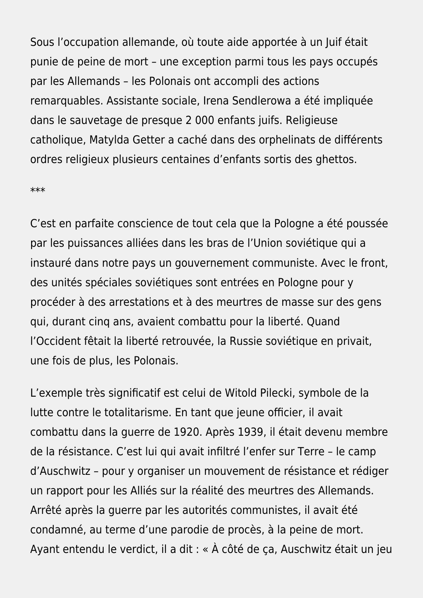Sous l'occupation allemande, où toute aide apportée à un Juif était punie de peine de mort – une exception parmi tous les pays occupés par les Allemands – les Polonais ont accompli des actions remarquables. Assistante sociale, Irena Sendlerowa a été impliquée dans le sauvetage de presque 2 000 enfants juifs. Religieuse catholique, Matylda Getter a caché dans des orphelinats de différents ordres religieux plusieurs centaines d'enfants sortis des ghettos.

#### \*\*\*

C'est en parfaite conscience de tout cela que la Pologne a été poussée par les puissances alliées dans les bras de l'Union soviétique qui a instauré dans notre pays un gouvernement communiste. Avec le front, des unités spéciales soviétiques sont entrées en Pologne pour y procéder à des arrestations et à des meurtres de masse sur des gens qui, durant cinq ans, avaient combattu pour la liberté. Quand l'Occident fêtait la liberté retrouvée, la Russie soviétique en privait, une fois de plus, les Polonais.

L'exemple très significatif est celui de Witold Pilecki, symbole de la lutte contre le totalitarisme. En tant que jeune officier, il avait combattu dans la guerre de 1920. Après 1939, il était devenu membre de la résistance. C'est lui qui avait infiltré l'enfer sur Terre – le camp d'Auschwitz – pour y organiser un mouvement de résistance et rédiger un rapport pour les Alliés sur la réalité des meurtres des Allemands. Arrêté après la guerre par les autorités communistes, il avait été condamné, au terme d'une parodie de procès, à la peine de mort. Ayant entendu le verdict, il a dit : « À côté de ça, Auschwitz était un jeu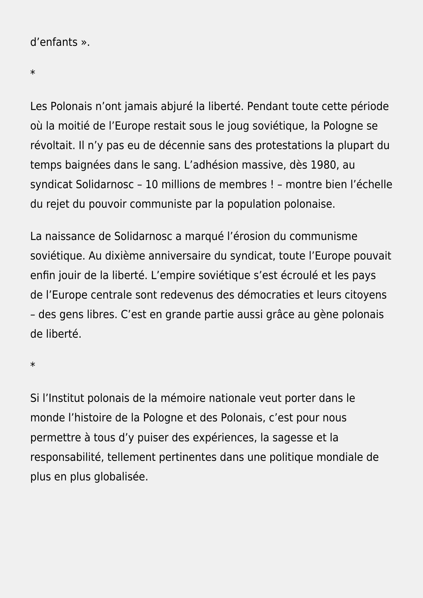#### d'enfants ».

\*

Les Polonais n'ont jamais abjuré la liberté. Pendant toute cette période où la moitié de l'Europe restait sous le joug soviétique, la Pologne se révoltait. Il n'y pas eu de décennie sans des protestations la plupart du temps baignées dans le sang. L'adhésion massive, dès 1980, au syndicat Solidarnosc – 10 millions de membres ! – montre bien l'échelle du rejet du pouvoir communiste par la population polonaise.

La naissance de Solidarnosc a marqué l'érosion du communisme soviétique. Au dixième anniversaire du syndicat, toute l'Europe pouvait enfin jouir de la liberté. L'empire soviétique s'est écroulé et les pays de l'Europe centrale sont redevenus des démocraties et leurs citoyens – des gens libres. C'est en grande partie aussi grâce au gène polonais de liberté.

\*

Si l'Institut polonais de la mémoire nationale veut porter dans le monde l'histoire de la Pologne et des Polonais, c'est pour nous permettre à tous d'y puiser des expériences, la sagesse et la responsabilité, tellement pertinentes dans une politique mondiale de plus en plus globalisée.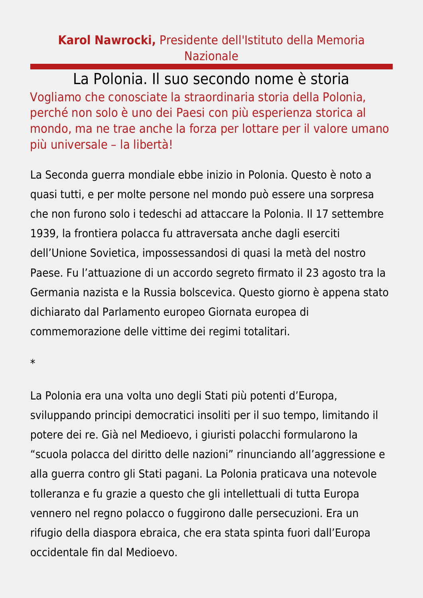### **Karol Nawrocki,** Presidente dell'Istituto della Memoria Nazionale

La Polonia. Il suo secondo nome è storia Vogliamo che conosciate la straordinaria storia della Polonia, perché non solo è uno dei Paesi con più esperienza storica al mondo, ma ne trae anche la forza per lottare per il valore umano più universale – la libertà!

La Seconda guerra mondiale ebbe inizio in Polonia. Questo è noto a quasi tutti, e per molte persone nel mondo può essere una sorpresa che non furono solo i tedeschi ad attaccare la Polonia. Il 17 settembre 1939, la frontiera polacca fu attraversata anche dagli eserciti dell'Unione Sovietica, impossessandosi di quasi la metà del nostro Paese. Fu l'attuazione di un accordo segreto firmato il 23 agosto tra la Germania nazista e la Russia bolscevica. Questo giorno è appena stato dichiarato dal Parlamento europeo Giornata europea di commemorazione delle vittime dei regimi totalitari.

\*

La Polonia era una volta uno degli Stati più potenti d'Europa, sviluppando principi democratici insoliti per il suo tempo, limitando il potere dei re. Già nel Medioevo, i giuristi polacchi formularono la "scuola polacca del diritto delle nazioni" rinunciando all'aggressione e alla guerra contro gli Stati pagani. La Polonia praticava una notevole tolleranza e fu grazie a questo che gli intellettuali di tutta Europa vennero nel regno polacco o fuggirono dalle persecuzioni. Era un rifugio della diaspora ebraica, che era stata spinta fuori dall'Europa occidentale fin dal Medioevo.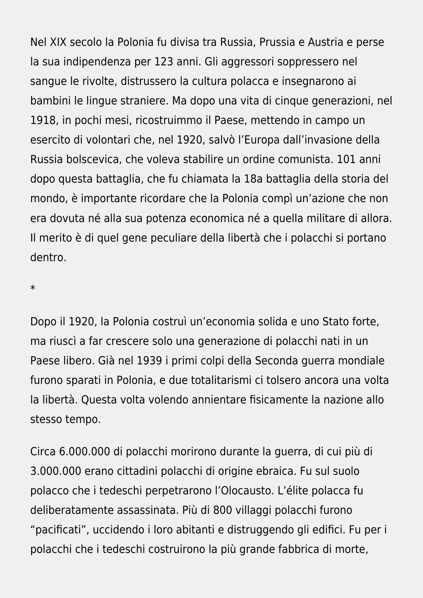Nel XIX secolo la Polonia fu divisa tra Russia, Prussia e Austria e perse la sua indipendenza per 123 anni. Gli aggressori soppressero nel sangue le rivolte, distrussero la cultura polacca e insegnarono ai bambini le lingue straniere. Ma dopo una vita di cinque generazioni, nel 1918, in pochi mesi, ricostruimmo il Paese, mettendo in campo un esercito di volontari che, nel 1920, salvò l'Europa dall'invasione della Russia bolscevica, che voleva stabilire un ordine comunista. 101 anni dopo questa battaglia, che fu chiamata la 18a battaglia della storia del mondo, è importante ricordare che la Polonia compì un'azione che non era dovuta né alla sua potenza economica né a quella militare di allora. Il merito è di quel gene peculiare della libertà che i polacchi si portano dentro.

\*

Dopo il 1920, la Polonia costruì un'economia solida e uno Stato forte, ma riuscì a far crescere solo una generazione di polacchi nati in un Paese libero. Già nel 1939 i primi colpi della Seconda guerra mondiale furono sparati in Polonia, e due totalitarismi ci tolsero ancora una volta la libertà. Questa volta volendo annientare fisicamente la nazione allo stesso tempo.

Circa 6.000.000 di polacchi morirono durante la guerra, di cui più di 3.000.000 erano cittadini polacchi di origine ebraica. Fu sul suolo polacco che i tedeschi perpetrarono l'Olocausto. L'élite polacca fu deliberatamente assassinata. Più di 800 villaggi polacchi furono "pacificati", uccidendo i loro abitanti e distruggendo gli edifici. Fu per i polacchi che i tedeschi costruirono la più grande fabbrica di morte,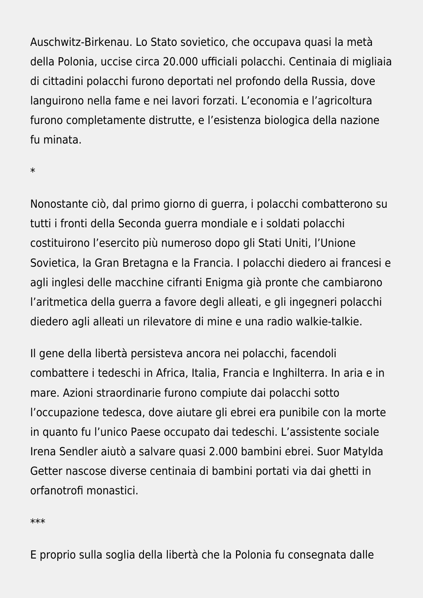Auschwitz-Birkenau. Lo Stato sovietico, che occupava quasi la metà della Polonia, uccise circa 20.000 ufficiali polacchi. Centinaia di migliaia di cittadini polacchi furono deportati nel profondo della Russia, dove languirono nella fame e nei lavori forzati. L'economia e l'agricoltura furono completamente distrutte, e l'esistenza biologica della nazione fu minata.

\*

Nonostante ciò, dal primo giorno di guerra, i polacchi combatterono su tutti i fronti della Seconda guerra mondiale e i soldati polacchi costituirono l'esercito più numeroso dopo gli Stati Uniti, l'Unione Sovietica, la Gran Bretagna e la Francia. I polacchi diedero ai francesi e agli inglesi delle macchine cifranti Enigma già pronte che cambiarono l'aritmetica della guerra a favore degli alleati, e gli ingegneri polacchi diedero agli alleati un rilevatore di mine e una radio walkie-talkie.

Il gene della libertà persisteva ancora nei polacchi, facendoli combattere i tedeschi in Africa, Italia, Francia e Inghilterra. In aria e in mare. Azioni straordinarie furono compiute dai polacchi sotto l'occupazione tedesca, dove aiutare gli ebrei era punibile con la morte in quanto fu l'unico Paese occupato dai tedeschi. L'assistente sociale Irena Sendler aiutò a salvare quasi 2.000 bambini ebrei. Suor Matylda Getter nascose diverse centinaia di bambini portati via dai ghetti in orfanotrofi monastici.

\*\*\*

E proprio sulla soglia della libertà che la Polonia fu consegnata dalle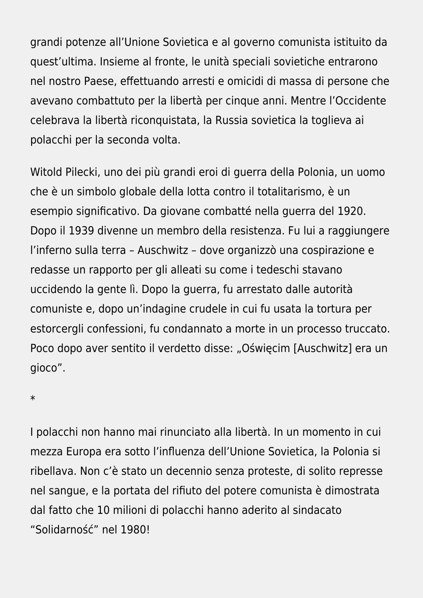grandi potenze all'Unione Sovietica e al governo comunista istituito da quest'ultima. Insieme al fronte, le unità speciali sovietiche entrarono nel nostro Paese, effettuando arresti e omicidi di massa di persone che avevano combattuto per la libertà per cinque anni. Mentre l'Occidente celebrava la libertà riconquistata, la Russia sovietica la toglieva ai polacchi per la seconda volta.

Witold Pilecki, uno dei più grandi eroi di guerra della Polonia, un uomo che è un simbolo globale della lotta contro il totalitarismo, è un esempio significativo. Da giovane combatté nella guerra del 1920. Dopo il 1939 divenne un membro della resistenza. Fu lui a raggiungere l'inferno sulla terra – Auschwitz – dove organizzò una cospirazione e redasse un rapporto per gli alleati su come i tedeschi stavano uccidendo la gente lì. Dopo la guerra, fu arrestato dalle autorità comuniste e, dopo un'indagine crudele in cui fu usata la tortura per estorcergli confessioni, fu condannato a morte in un processo truccato. Poco dopo aver sentito il verdetto disse: "Oświęcim [Auschwitz] era un gioco".

\*

I polacchi non hanno mai rinunciato alla libertà. In un momento in cui mezza Europa era sotto l'influenza dell'Unione Sovietica, la Polonia si ribellava. Non c'è stato un decennio senza proteste, di solito represse nel sangue, e la portata del rifiuto del potere comunista è dimostrata dal fatto che 10 milioni di polacchi hanno aderito al sindacato "Solidarność" nel 1980!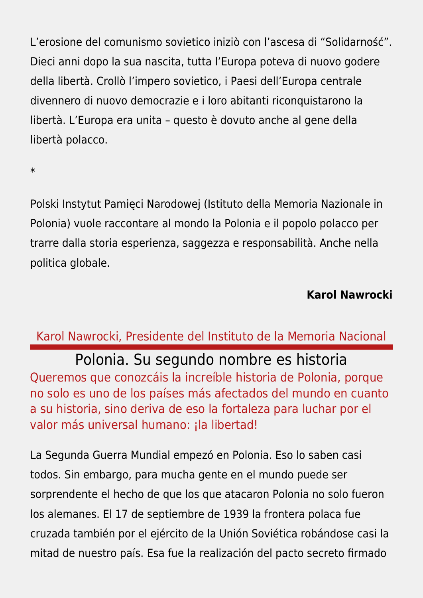L'erosione del comunismo sovietico iniziò con l'ascesa di "Solidarność". Dieci anni dopo la sua nascita, tutta l'Europa poteva di nuovo godere della libertà. Crollò l'impero sovietico, i Paesi dell'Europa centrale divennero di nuovo democrazie e i loro abitanti riconquistarono la libertà. L'Europa era unita – questo è dovuto anche al gene della libertà polacco.

\*

Polski Instytut Pamięci Narodowej (Istituto della Memoria Nazionale in Polonia) vuole raccontare al mondo la Polonia e il popolo polacco per trarre dalla storia esperienza, saggezza e responsabilità. Anche nella politica globale.

### **Karol Nawrocki**

# Karol Nawrocki, Presidente del Instituto de la Memoria Nacional

Polonia. Su segundo nombre es historia Queremos que conozcáis la increíble historia de Polonia, porque no solo es uno de los países más afectados del mundo en cuanto a su historia, sino deriva de eso la fortaleza para luchar por el valor más universal humano: ¡la libertad!

La Segunda Guerra Mundial empezó en Polonia. Eso lo saben casi todos. Sin embargo, para mucha gente en el mundo puede ser sorprendente el hecho de que los que atacaron Polonia no solo fueron los alemanes. El 17 de septiembre de 1939 la frontera polaca fue cruzada también por el ejército de la Unión Soviética robándose casi la mitad de nuestro país. Esa fue la realización del pacto secreto firmado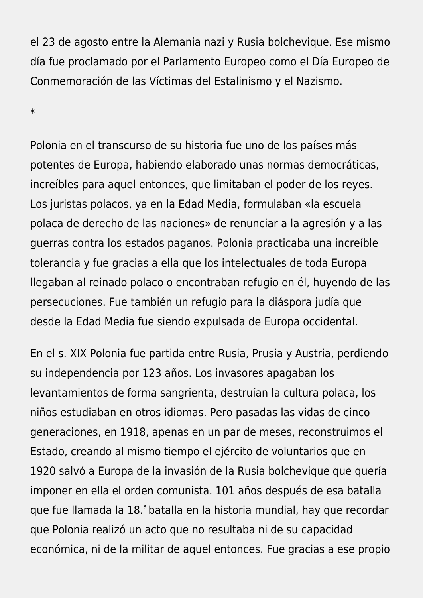el 23 de agosto entre la Alemania nazi y Rusia bolchevique. Ese mismo día fue proclamado por el Parlamento Europeo como el Día Europeo de Conmemoración de las Víctimas del Estalinismo y el Nazismo.

\*

Polonia en el transcurso de su historia fue uno de los países más potentes de Europa, habiendo elaborado unas normas democráticas, increíbles para aquel entonces, que limitaban el poder de los reyes. Los juristas polacos, ya en la Edad Media, formulaban «la escuela polaca de derecho de las naciones» de renunciar a la agresión y a las guerras contra los estados paganos. Polonia practicaba una increíble tolerancia y fue gracias a ella que los intelectuales de toda Europa llegaban al reinado polaco o encontraban refugio en él, huyendo de las persecuciones. Fue también un refugio para la diáspora judía que desde la Edad Media fue siendo expulsada de Europa occidental.

En el s. XIX Polonia fue partida entre Rusia, Prusia y Austria, perdiendo su independencia por 123 años. Los invasores apagaban los levantamientos de forma sangrienta, destruían la cultura polaca, los niños estudiaban en otros idiomas. Pero pasadas las vidas de cinco generaciones, en 1918, apenas en un par de meses, reconstruimos el Estado, creando al mismo tiempo el ejército de voluntarios que en 1920 salvó a Europa de la invasión de la Rusia bolchevique que quería imponer en ella el orden comunista. 101 años después de esa batalla que fue llamada la 18.ª batalla en la historia mundial, hay que recordar que Polonia realizó un acto que no resultaba ni de su capacidad económica, ni de la militar de aquel entonces. Fue gracias a ese propio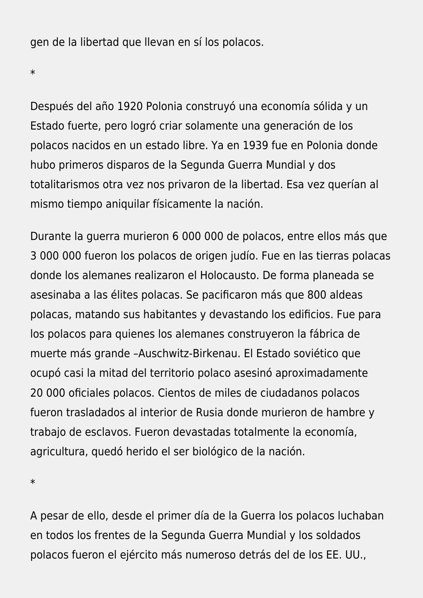gen de la libertad que llevan en sí los polacos.

\*

Después del año 1920 Polonia construyó una economía sólida y un Estado fuerte, pero logró criar solamente una generación de los polacos nacidos en un estado libre. Ya en 1939 fue en Polonia donde hubo primeros disparos de la Segunda Guerra Mundial y dos totalitarismos otra vez nos privaron de la libertad. Esa vez querían al mismo tiempo aniquilar físicamente la nación.

Durante la guerra murieron 6 000 000 de polacos, entre ellos más que 3 000 000 fueron los polacos de origen judío. Fue en las tierras polacas donde los alemanes realizaron el Holocausto. De forma planeada se asesinaba a las élites polacas. Se pacificaron más que 800 aldeas polacas, matando sus habitantes y devastando los edificios. Fue para los polacos para quienes los alemanes construyeron la fábrica de muerte más grande –Auschwitz-Birkenau. El Estado soviético que ocupó casi la mitad del territorio polaco asesinó aproximadamente 20 000 oficiales polacos. Cientos de miles de ciudadanos polacos fueron trasladados al interior de Rusia donde murieron de hambre y trabajo de esclavos. Fueron devastadas totalmente la economía, agricultura, quedó herido el ser biológico de la nación.

\*

A pesar de ello, desde el primer día de la Guerra los polacos luchaban en todos los frentes de la Segunda Guerra Mundial y los soldados polacos fueron el ejército más numeroso detrás del de los EE. UU.,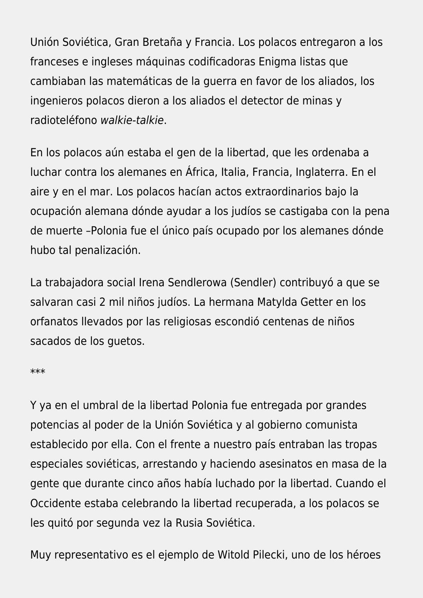Unión Soviética, Gran Bretaña y Francia. Los polacos entregaron a los franceses e ingleses máquinas codificadoras Enigma listas que cambiaban las matemáticas de la guerra en favor de los aliados, los ingenieros polacos dieron a los aliados el detector de minas y radioteléfono walkie-talkie.

En los polacos aún estaba el gen de la libertad, que les ordenaba a luchar contra los alemanes en África, Italia, Francia, Inglaterra. En el aire y en el mar. Los polacos hacían actos extraordinarios bajo la ocupación alemana dónde ayudar a los judíos se castigaba con la pena de muerte –Polonia fue el único país ocupado por los alemanes dónde hubo tal penalización.

La trabajadora social Irena Sendlerowa (Sendler) contribuyó a que se salvaran casi 2 mil niños judíos. La hermana Matylda Getter en los orfanatos llevados por las religiosas escondió centenas de niños sacados de los guetos.

#### \*\*\*

Y ya en el umbral de la libertad Polonia fue entregada por grandes potencias al poder de la Unión Soviética y al gobierno comunista establecido por ella. Con el frente a nuestro país entraban las tropas especiales soviéticas, arrestando y haciendo asesinatos en masa de la gente que durante cinco años había luchado por la libertad. Cuando el Occidente estaba celebrando la libertad recuperada, a los polacos se les quitó por segunda vez la Rusia Soviética.

Muy representativo es el ejemplo de Witold Pilecki, uno de los héroes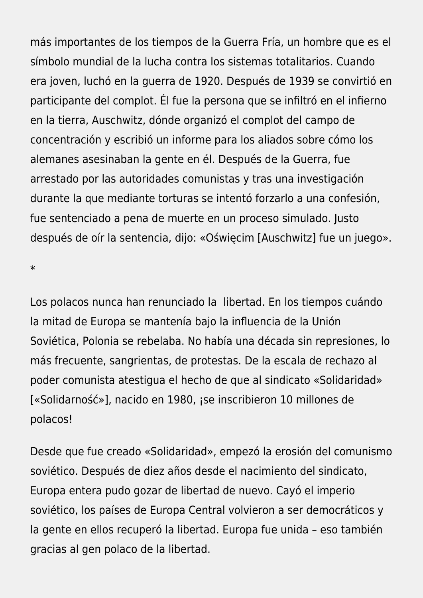más importantes de los tiempos de la Guerra Fría, un hombre que es el símbolo mundial de la lucha contra los sistemas totalitarios. Cuando era joven, luchó en la guerra de 1920. Después de 1939 se convirtió en participante del complot. Él fue la persona que se infiltró en el infierno en la tierra, Auschwitz, dónde organizó el complot del campo de concentración y escribió un informe para los aliados sobre cómo los alemanes asesinaban la gente en él. Después de la Guerra, fue arrestado por las autoridades comunistas y tras una investigación durante la que mediante torturas se intentó forzarlo a una confesión, fue sentenciado a pena de muerte en un proceso simulado. Justo después de oír la sentencia, dijo: «Oświęcim [Auschwitz] fue un juego».

\*

Los polacos nunca han renunciado la libertad. En los tiempos cuándo la mitad de Europa se mantenía bajo la influencia de la Unión Soviética, Polonia se rebelaba. No había una década sin represiones, lo más frecuente, sangrientas, de protestas. De la escala de rechazo al poder comunista atestigua el hecho de que al sindicato «Solidaridad» [«Solidarność»], nacido en 1980, ¡se inscribieron 10 millones de polacos!

Desde que fue creado «Solidaridad», empezó la erosión del comunismo soviético. Después de diez años desde el nacimiento del sindicato, Europa entera pudo gozar de libertad de nuevo. Cayó el imperio soviético, los países de Europa Central volvieron a ser democráticos y la gente en ellos recuperó la libertad. Europa fue unida – eso también gracias al gen polaco de la libertad.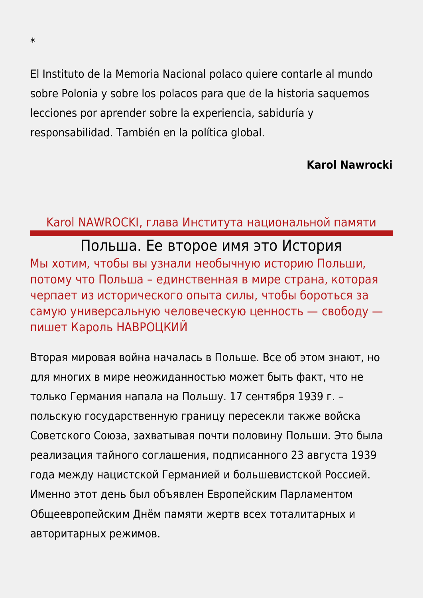El Instituto de la Memoria Nacional polaco quiere contarle al mundo sobre Polonia y sobre los polacos para que de la historia saquemos lecciones por aprender sobre la experiencia, sabiduría y responsabilidad. También en la política global.

### **Karol Nawrocki**

### Karol NAWROCKI, глава Института национальной памяти

# Польша. Ее второе имя это История

Мы хотим, чтобы вы узнали необычную историю Польши, потому что Польша – единственная в мире страна, которая черпает из исторического опыта силы, чтобы бороться за самую универсальную человеческую ценность — свободу пишет Кароль НАВРОЦКИЙ

Вторая мировая война началась в Польше. Все об этом знают, но для многих в мире неожиданностью может быть факт, что не только Германия напала на Польшу. 17 сентября 1939 г. – польскую государственную границу пересекли также войска Советского Союза, захватывая почти половину Польши. Это была реализация тайного соглашения, подписанного 23 августа 1939 года между нацистской Германией и большевистской Россией. Именно этот день был объявлен Европейским Парламентом Общеевропейским Днём памяти жертв всех тоталитарных и авторитарных режимов.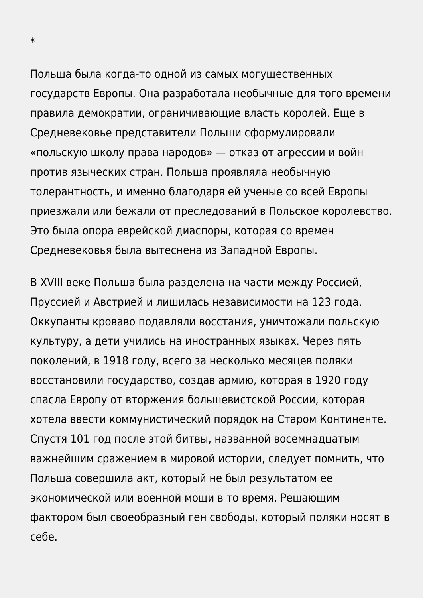Польша была когда-то одной из самых могущественных государств Европы. Она разработала необычные для того времени правила демократии, ограничивающие власть королей. Еще в Средневековье представители Польши сформулировали «польскую школу права народов» — отказ от агрессии и войн против языческих стран. Польша проявляла необычную толерантность, и именно благодаря ей ученые со всей Европы приезжали или бежали от преследований в Польское королевство. Это была опора еврейской диаспоры, которая со времен Средневековья была вытеснена из Западной Европы.

В XVIII веке Польша была разделена на части между Россией, Пруссией и Австрией и лишилась независимости на 123 года. Оккупанты кроваво подавляли восстания, уничтожали польскую культуру, а дети учились на иностранных языках. Через пять поколений, в 1918 году, всего за несколько месяцев поляки восстановили государство, создав армию, которая в 1920 году спасла Европу от вторжения большевистской России, которая хотела ввести коммунистический порядок на Старом Континенте. Спустя 101 год после этой битвы, названной восемнадцатым важнейшим сражением в мировой истории, следует помнить, что Польша совершила акт, который не был результатом ее экономической или военной мощи в то время. Решающим фактором был своеобразный ген свободы, который поляки носят в себе.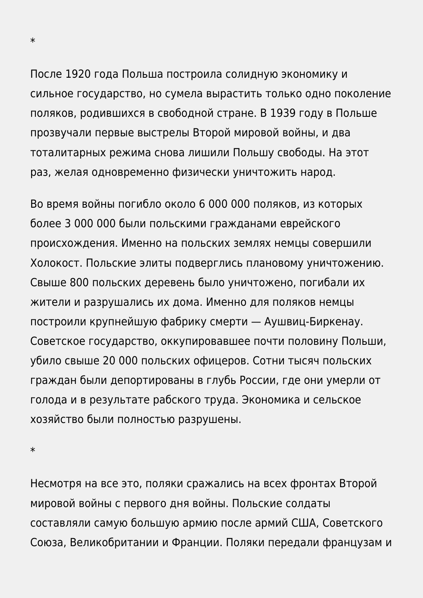После 1920 года Польша построила солидную экономику и сильное государство, но сумела вырастить только одно поколение поляков, родившихся в свободной стране. В 1939 году в Польше прозвучали первые выстрелы Второй мировой войны, и два тоталитарных режима снова лишили Польшу свободы. На этот раз, желая одновременно физически уничтожить народ.

Во время войны погибло около 6 000 000 поляков, из которых более 3 000 000 были польскими гражданами еврейского происхождения. Именно на польских землях немцы совершили Холокост. Польские элиты подверглись плановому уничтожению. Свыше 800 польских деревень было уничтожено, погибали их жители и разрушались их дома. Именно для поляков немцы построили крупнейшую фабрику смерти — Аушвиц-Биркенау. Советское государство, оккупировавшее почти половину Польши, убило свыше 20 000 польских офицеров. Сотни тысяч польских граждан были депортированы в глубь России, где они умерли от голода и в результате рабского труда. Экономика и сельское хозяйство были полностью разрушены.

\*

Несмотря на все это, поляки сражались на всех фронтах Второй мировой войны с первого дня войны. Польские солдаты составляли самую большую армию после армий США, Советского Союза, Великобритании и Франции. Поляки передали французам и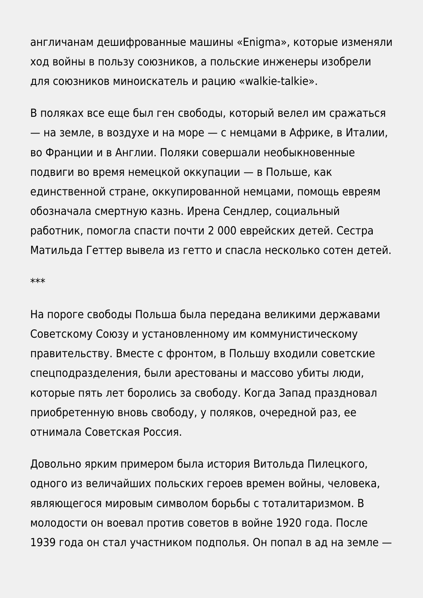англичанам дешифрованные машины «Enigma», которые изменяли ход войны в пользу союзников, а польские инженеры изобрели для союзников миноискатель и рацию «walkie-talkie».

В поляках все еще был ген свободы, который велел им сражаться — на земле, в воздухе и на море — с немцами в Африке, в Италии, во Франции и в Англии. Поляки совершали необыкновенные подвиги во время немецкой оккупации — в Польше, как единственной стране, оккупированной немцами, помощь евреям обозначала смертную казнь. Ирена Сендлер, социальный работник, помогла спасти почти 2 000 еврейских детей. Сестра Матильда Геттер вывела из гетто и спасла несколько сотен детей.

\*\*\*

На пороге свободы Польша была передана великими державами Советскому Союзу и установленному им коммунистическому правительству. Вместе с фронтом, в Польшу входили советские спецподразделения, были арестованы и массово убиты люди, которые пять лет боролись за свободу. Когда Запад праздновал приобретенную вновь свободу, у поляков, очередной раз, ее отнимала Советская Россия.

Довольно ярким примером была история Витольда Пилецкого, одного из величайших польских героев времен войны, человека, являющегося мировым символом борьбы с тоталитаризмом. В молодости он воевал против советов в войне 1920 года. После 1939 года он стал участником подполья. Он попал в ад на земле —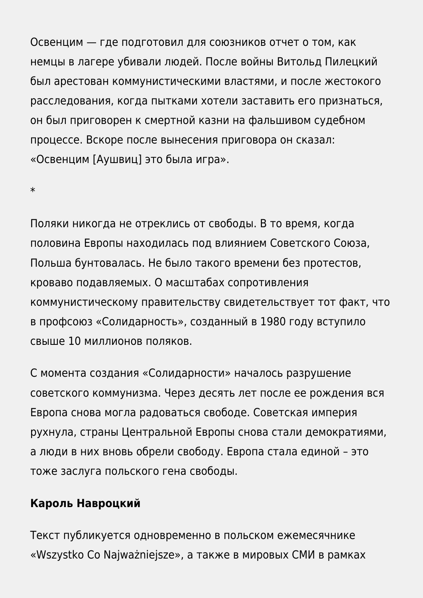Освенцим — где подготовил для союзников отчет о том, как немцы в лагере убивали людей. После войны Витольд Пилецкий был арестован коммунистическими властями, и после жестокого расследования, когда пытками хотели заставить его признаться, он был приговорен к смертной казни на фальшивом судебном процессе. Вскоре после вынесения приговора он сказал: «Освенцим [Аушвиц] это была игра».

\*

Поляки никогда не отреклись от свободы. В то время, когда половина Европы находилась под влиянием Советского Союза, Польша бунтовалась. Не было такого времени без протестов, кроваво подавляемых. О масштабах сопротивления коммунистическому правительству свидетельствует тот факт, что в профсоюз «Солидарность», созданный в 1980 году вступило свыше 10 миллионов поляков.

С момента создания «Солидарности» началось разрушение советского коммунизма. Через десять лет после ее рождения вся Европа снова могла радоваться свободе. Советская империя рухнула, страны Центральной Европы снова стали демократиями, а люди в них вновь обрели свободу. Европа стала единой – это тоже заслуга польского гена свободы.

### **Кароль Навроцкий**

Текст публикуется одновременно в польском ежемесячнике «Wszystko Co Najważniejsze», а также в мировых СМИ в рамках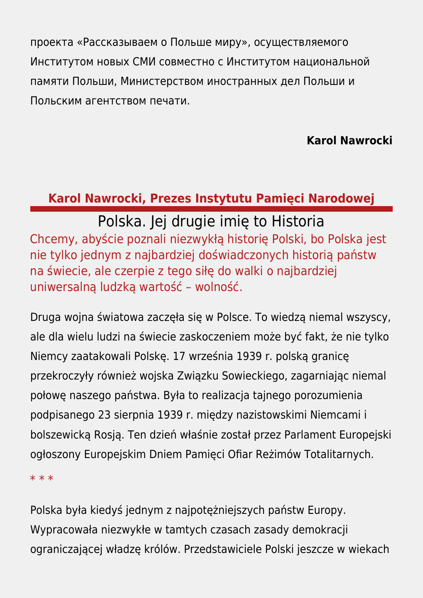проекта «Рассказываем о Польше миру», осуществляемого Институтом новых СМИ совместно с Институтом национальной памяти Польши, Министерством иностранных дел Польши и Польским агентством печати.

### **Karol Nawrocki**

# **Karol Nawrocki, Prezes Instytutu Pamięci Narodowej**

Polska. Jej drugie imię to Historia Chcemy, abyście poznali niezwykłą historię Polski, bo Polska jest nie tylko jednym z najbardziej doświadczonych historią państw na świecie, ale czerpie z tego siłę do walki o najbardziej uniwersalną ludzką wartość – wolność.

Druga wojna światowa zaczęła się w Polsce. To wiedzą niemal wszyscy, ale dla wielu ludzi na świecie zaskoczeniem może być fakt, że nie tylko Niemcy zaatakowali Polskę. 17 września 1939 r. polską granicę przekroczyły również wojska Związku Sowieckiego, zagarniając niemal połowę naszego państwa. Była to realizacja tajnego porozumienia podpisanego 23 sierpnia 1939 r. między nazistowskimi Niemcami i bolszewicką Rosją. Ten dzień właśnie został przez Parlament Europejski ogłoszony Europejskim Dniem Pamięci Ofiar Reżimów Totalitarnych.

\* \* \*

Polska była kiedyś jednym z najpotężniejszych państw Europy. Wypracowała niezwykłe w tamtych czasach zasady demokracji ograniczającej władzę królów. Przedstawiciele Polski jeszcze w wiekach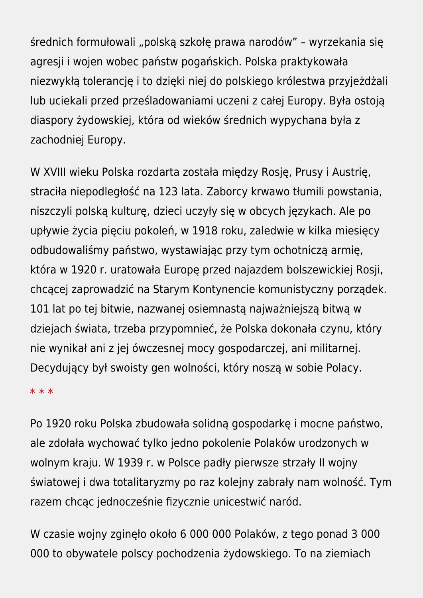średnich formułowali "polską szkołę prawa narodów" – wyrzekania się agresji i wojen wobec państw pogańskich. Polska praktykowała niezwykłą tolerancję i to dzięki niej do polskiego królestwa przyjeżdżali lub uciekali przed prześladowaniami uczeni z całej Europy. Była ostoją diaspory żydowskiej, która od wieków średnich wypychana była z zachodniej Europy.

W XVIII wieku Polska rozdarta została między Rosję, Prusy i Austrię, straciła niepodległość na 123 lata. Zaborcy krwawo tłumili powstania, niszczyli polską kulturę, dzieci uczyły się w obcych językach. Ale po upływie życia pięciu pokoleń, w 1918 roku, zaledwie w kilka miesięcy odbudowaliśmy państwo, wystawiając przy tym ochotniczą armię, która w 1920 r. uratowała Europę przed najazdem bolszewickiej Rosji, chcącej zaprowadzić na Starym Kontynencie komunistyczny porządek. 101 lat po tej bitwie, nazwanej osiemnastą najważniejszą bitwą w dziejach świata, trzeba przypomnieć, że Polska dokonała czynu, który nie wynikał ani z jej ówczesnej mocy gospodarczej, ani militarnej. Decydujący był swoisty gen wolności, który noszą w sobie Polacy.

#### \* \* \*

Po 1920 roku Polska zbudowała solidną gospodarkę i mocne państwo, ale zdołała wychować tylko jedno pokolenie Polaków urodzonych w wolnym kraju. W 1939 r. w Polsce padły pierwsze strzały II wojny światowej i dwa totalitaryzmy po raz kolejny zabrały nam wolność. Tym razem chcąc jednocześnie fizycznie unicestwić naród.

W czasie wojny zginęło około 6 000 000 Polaków, z tego ponad 3 000 000 to obywatele polscy pochodzenia żydowskiego. To na ziemiach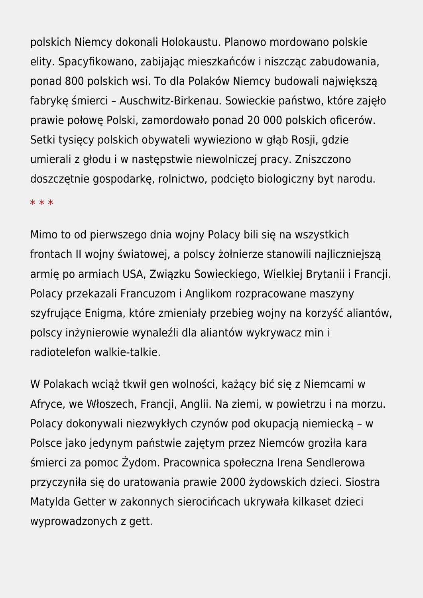polskich Niemcy dokonali Holokaustu. Planowo mordowano polskie elity. Spacyfikowano, zabijając mieszkańców i niszcząc zabudowania, ponad 800 polskich wsi. To dla Polaków Niemcy budowali największą fabrykę śmierci – Auschwitz-Birkenau. Sowieckie państwo, które zajęło prawie połowę Polski, zamordowało ponad 20 000 polskich oficerów. Setki tysięcy polskich obywateli wywieziono w głąb Rosji, gdzie umierali z głodu i w następstwie niewolniczej pracy. Zniszczono doszczętnie gospodarkę, rolnictwo, podcięto biologiczny byt narodu.

#### \* \* \*

Mimo to od pierwszego dnia wojny Polacy bili się na wszystkich frontach II wojny światowej, a polscy żołnierze stanowili najliczniejszą armię po armiach USA, Związku Sowieckiego, Wielkiej Brytanii i Francji. Polacy przekazali Francuzom i Anglikom rozpracowane maszyny szyfrujące Enigma, które zmieniały przebieg wojny na korzyść aliantów, polscy inżynierowie wynaleźli dla aliantów wykrywacz min i radiotelefon walkie-talkie.

W Polakach wciąż tkwił gen wolności, każący bić się z Niemcami w Afryce, we Włoszech, Francji, Anglii. Na ziemi, w powietrzu i na morzu. Polacy dokonywali niezwykłych czynów pod okupacją niemiecką – w Polsce jako jedynym państwie zajętym przez Niemców groziła kara śmierci za pomoc Żydom. Pracownica społeczna Irena Sendlerowa przyczyniła się do uratowania prawie 2000 żydowskich dzieci. Siostra Matylda Getter w zakonnych sierocińcach ukrywała kilkaset dzieci wyprowadzonych z gett.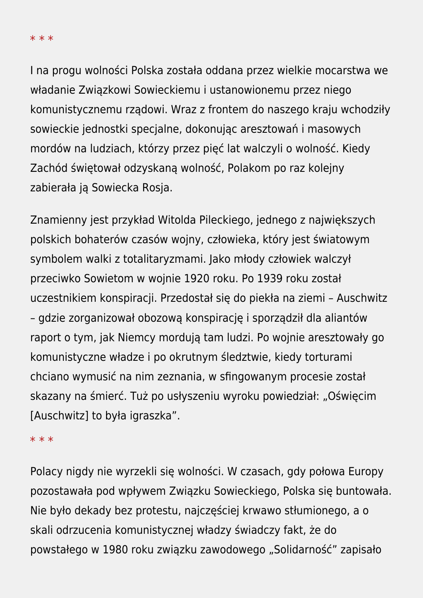\* \* \*

I na progu wolności Polska została oddana przez wielkie mocarstwa we władanie Związkowi Sowieckiemu i ustanowionemu przez niego komunistycznemu rządowi. Wraz z frontem do naszego kraju wchodziły sowieckie jednostki specjalne, dokonując aresztowań i masowych mordów na ludziach, którzy przez pięć lat walczyli o wolność. Kiedy Zachód świętował odzyskaną wolność, Polakom po raz kolejny zabierała ją Sowiecka Rosja.

Znamienny jest przykład Witolda Pileckiego, jednego z największych polskich bohaterów czasów wojny, człowieka, który jest światowym symbolem walki z totalitaryzmami. Jako młody człowiek walczył przeciwko Sowietom w wojnie 1920 roku. Po 1939 roku został uczestnikiem konspiracji. Przedostał się do piekła na ziemi – Auschwitz – gdzie zorganizował obozową konspirację i sporządził dla aliantów raport o tym, jak Niemcy mordują tam ludzi. Po wojnie aresztowały go komunistyczne władze i po okrutnym śledztwie, kiedy torturami chciano wymusić na nim zeznania, w sfingowanym procesie został skazany na śmierć. Tuż po usłyszeniu wyroku powiedział: "Oświęcim [Auschwitz] to była igraszka".

#### \* \* \*

Polacy nigdy nie wyrzekli się wolności. W czasach, gdy połowa Europy pozostawała pod wpływem Związku Sowieckiego, Polska się buntowała. Nie było dekady bez protestu, najczęściej krwawo stłumionego, a o skali odrzucenia komunistycznej władzy świadczy fakt, że do powstałego w 1980 roku związku zawodowego "Solidarność" zapisało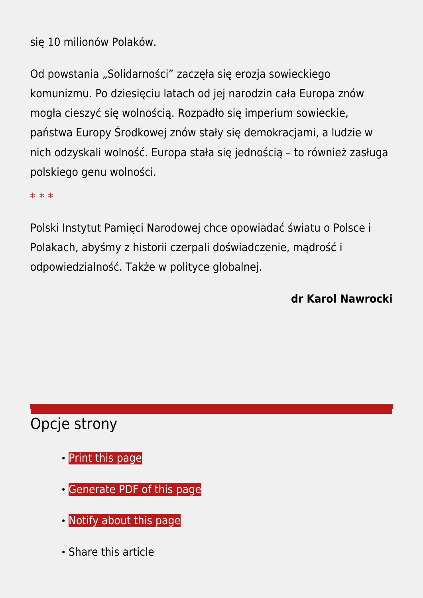się 10 milionów Polaków.

Od powstania "Solidarności" zaczęła się erozja sowieckiego komunizmu. Po dziesięciu latach od jej narodzin cała Europa znów mogła cieszyć się wolnością. Rozpadło się imperium sowieckie, państwa Europy Środkowej znów stały się demokracjami, a ludzie w nich odzyskali wolność. Europa stała się jednością – to również zasługa polskiego genu wolności.

\* \* \*

Polski Instytut Pamięci Narodowej chce opowiadać światu o Polsce i Polakach, abyśmy z historii czerpali doświadczenie, mądrość i odpowiedzialność. Także w polityce globalnej.

**dr Karol Nawrocki**

# Opcje strony

- **[Print](https://ipn.gov.pl/javascript:winopen() [this page](https://ipn.gov.pl/javascript:winopen()**
- [Generate PDF](https://ipn.gov.pl/en/news/8890,We-Are-Telling-the-World-About-Poland-Poland-Her-middle-name-is-History.pdf) [of this page](https://ipn.gov.pl/en/news/8890,We-Are-Telling-the-World-About-Poland-Poland-Her-middle-name-is-History.pdf)
- [Notify](https://ipn.gov.pl/en/powiadom/8890,dok.html?poz=news&drukuj=window) [about this page](https://ipn.gov.pl/en/powiadom/8890,dok.html?poz=news&drukuj=window)
- Share this article